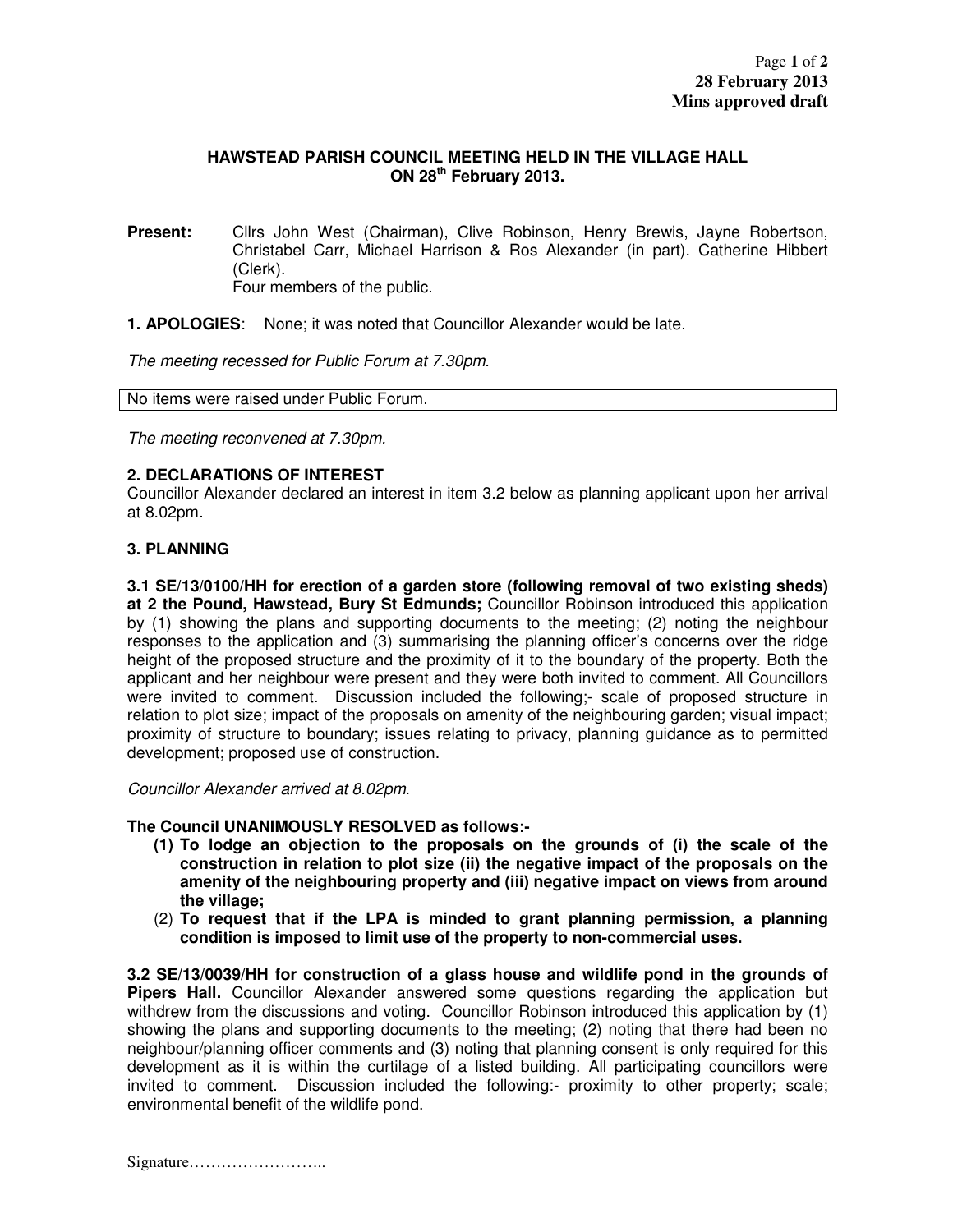## **HAWSTEAD PARISH COUNCIL MEETING HELD IN THE VILLAGE HALL ON 28th February 2013.**

- **Present:** Cllrs John West (Chairman), Clive Robinson, Henry Brewis, Jayne Robertson, Christabel Carr, Michael Harrison & Ros Alexander (in part). Catherine Hibbert (Clerk). Four members of the public.
- **1. APOLOGIES**: None; it was noted that Councillor Alexander would be late.

The meeting recessed for Public Forum at 7.30pm.

No items were raised under Public Forum.

The meeting reconvened at 7.30pm.

# **2. DECLARATIONS OF INTEREST**

Councillor Alexander declared an interest in item 3.2 below as planning applicant upon her arrival at 8.02pm.

### **3. PLANNING**

**3.1 SE/13/0100/HH for erection of a garden store (following removal of two existing sheds) at 2 the Pound, Hawstead, Bury St Edmunds;** Councillor Robinson introduced this application by (1) showing the plans and supporting documents to the meeting; (2) noting the neighbour responses to the application and (3) summarising the planning officer's concerns over the ridge height of the proposed structure and the proximity of it to the boundary of the property. Both the applicant and her neighbour were present and they were both invited to comment. All Councillors were invited to comment. Discussion included the following;- scale of proposed structure in relation to plot size; impact of the proposals on amenity of the neighbouring garden; visual impact; proximity of structure to boundary; issues relating to privacy, planning guidance as to permitted development; proposed use of construction.

Councillor Alexander arrived at 8.02pm.

#### **The Council UNANIMOUSLY RESOLVED as follows:-**

- **(1) To lodge an objection to the proposals on the grounds of (i) the scale of the construction in relation to plot size (ii) the negative impact of the proposals on the amenity of the neighbouring property and (iii) negative impact on views from around the village;**
- (2) **To request that if the LPA is minded to grant planning permission, a planning condition is imposed to limit use of the property to non-commercial uses.**

**3.2 SE/13/0039/HH for construction of a glass house and wildlife pond in the grounds of Pipers Hall.** Councillor Alexander answered some questions regarding the application but withdrew from the discussions and voting. Councillor Robinson introduced this application by (1) showing the plans and supporting documents to the meeting; (2) noting that there had been no neighbour/planning officer comments and (3) noting that planning consent is only required for this development as it is within the curtilage of a listed building. All participating councillors were invited to comment. Discussion included the following:- proximity to other property; scale; environmental benefit of the wildlife pond.